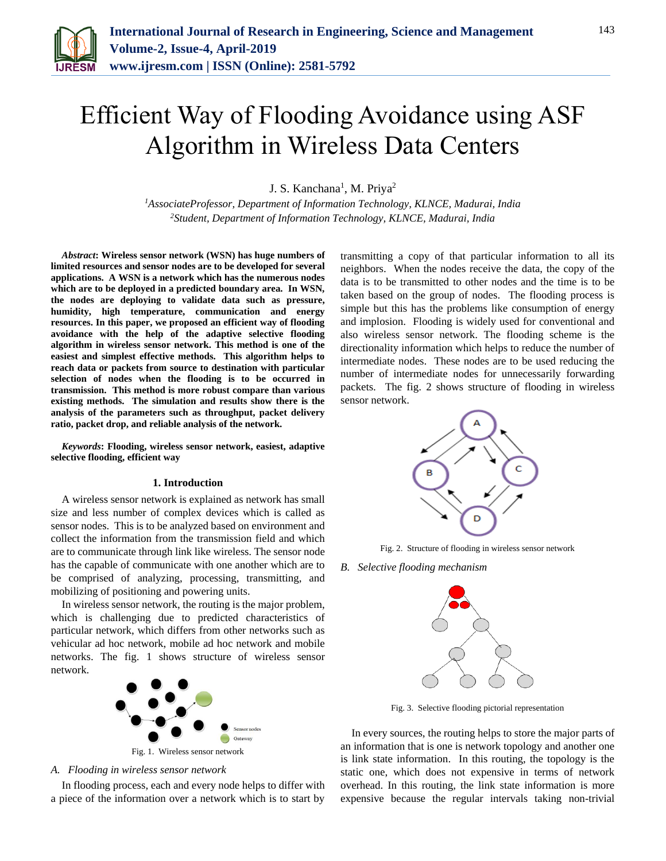

# Efficient Way of Flooding Avoidance using ASF Algorithm in Wireless Data Centers

J. S. Kanchana<sup>1</sup>, M. Priya<sup>2</sup>

*<sup>1</sup>AssociateProfessor, Department of Information Technology, KLNCE, Madurai, India 2Student, Department of Information Technology, KLNCE, Madurai, India*

*Abstract***: Wireless sensor network (WSN) has huge numbers of limited resources and sensor nodes are to be developed for several applications. A WSN is a network which has the numerous nodes which are to be deployed in a predicted boundary area. In WSN, the nodes are deploying to validate data such as pressure, humidity, high temperature, communication and energy resources. In this paper, we proposed an efficient way of flooding avoidance with the help of the adaptive selective flooding algorithm in wireless sensor network. This method is one of the easiest and simplest effective methods. This algorithm helps to reach data or packets from source to destination with particular selection of nodes when the flooding is to be occurred in transmission. This method is more robust compare than various existing methods. The simulation and results show there is the analysis of the parameters such as throughput, packet delivery ratio, packet drop, and reliable analysis of the network.**

*Keywords***: Flooding, wireless sensor network, easiest, adaptive selective flooding, efficient way**

#### **1. Introduction**

A wireless sensor network is explained as network has small size and less number of complex devices which is called as sensor nodes. This is to be analyzed based on environment and collect the information from the transmission field and which are to communicate through link like wireless. The sensor node has the capable of communicate with one another which are to be comprised of analyzing, processing, transmitting, and mobilizing of positioning and powering units.

In wireless sensor network, the routing is the major problem, which is challenging due to predicted characteristics of particular network, which differs from other networks such as vehicular ad hoc network, mobile ad hoc network and mobile networks. The fig. 1 shows structure of wireless sensor network.



*A. Flooding in wireless sensor network*

In flooding process, each and every node helps to differ with a piece of the information over a network which is to start by transmitting a copy of that particular information to all its neighbors. When the nodes receive the data, the copy of the data is to be transmitted to other nodes and the time is to be taken based on the group of nodes. The flooding process is simple but this has the problems like consumption of energy and implosion. Flooding is widely used for conventional and also wireless sensor network. The flooding scheme is the directionality information which helps to reduce the number of intermediate nodes. These nodes are to be used reducing the number of intermediate nodes for unnecessarily forwarding packets. The fig. 2 shows structure of flooding in wireless sensor network.



Fig. 2. Structure of flooding in wireless sensor network

*B. Selective flooding mechanism*



Fig. 3. Selective flooding pictorial representation

In every sources, the routing helps to store the major parts of an information that is one is network topology and another one is link state information. In this routing, the topology is the static one, which does not expensive in terms of network overhead. In this routing, the link state information is more expensive because the regular intervals taking non-trivial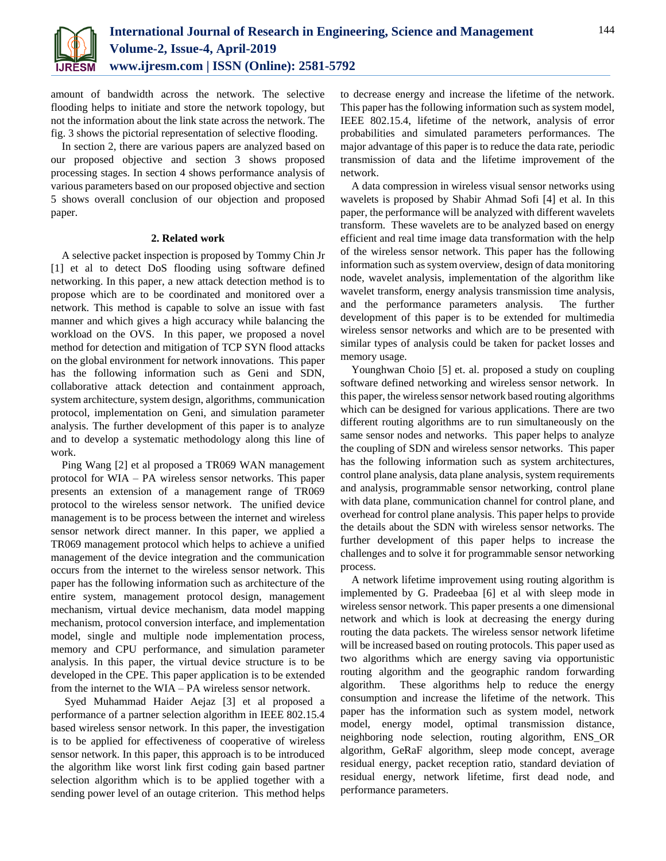

amount of bandwidth across the network. The selective flooding helps to initiate and store the network topology, but not the information about the link state across the network. The fig. 3 shows the pictorial representation of selective flooding.

In section 2, there are various papers are analyzed based on our proposed objective and section 3 shows proposed processing stages. In section 4 shows performance analysis of various parameters based on our proposed objective and section 5 shows overall conclusion of our objection and proposed paper.

## **2. Related work**

A selective packet inspection is proposed by Tommy Chin Jr [1] et al to detect DoS flooding using software defined networking. In this paper, a new attack detection method is to propose which are to be coordinated and monitored over a network. This method is capable to solve an issue with fast manner and which gives a high accuracy while balancing the workload on the OVS. In this paper, we proposed a novel method for detection and mitigation of TCP SYN flood attacks on the global environment for network innovations. This paper has the following information such as Geni and SDN, collaborative attack detection and containment approach, system architecture, system design, algorithms, communication protocol, implementation on Geni, and simulation parameter analysis. The further development of this paper is to analyze and to develop a systematic methodology along this line of work.

Ping Wang [2] et al proposed a TR069 WAN management protocol for WIA – PA wireless sensor networks. This paper presents an extension of a management range of TR069 protocol to the wireless sensor network. The unified device management is to be process between the internet and wireless sensor network direct manner. In this paper, we applied a TR069 management protocol which helps to achieve a unified management of the device integration and the communication occurs from the internet to the wireless sensor network. This paper has the following information such as architecture of the entire system, management protocol design, management mechanism, virtual device mechanism, data model mapping mechanism, protocol conversion interface, and implementation model, single and multiple node implementation process, memory and CPU performance, and simulation parameter analysis. In this paper, the virtual device structure is to be developed in the CPE. This paper application is to be extended from the internet to the WIA – PA wireless sensor network.

Syed Muhammad Haider Aejaz [3] et al proposed a performance of a partner selection algorithm in IEEE 802.15.4 based wireless sensor network. In this paper, the investigation is to be applied for effectiveness of cooperative of wireless sensor network. In this paper, this approach is to be introduced the algorithm like worst link first coding gain based partner selection algorithm which is to be applied together with a sending power level of an outage criterion. This method helps to decrease energy and increase the lifetime of the network. This paper has the following information such as system model, IEEE 802.15.4, lifetime of the network, analysis of error probabilities and simulated parameters performances. The major advantage of this paper is to reduce the data rate, periodic transmission of data and the lifetime improvement of the network.

A data compression in wireless visual sensor networks using wavelets is proposed by Shabir Ahmad Sofi [4] et al. In this paper, the performance will be analyzed with different wavelets transform. These wavelets are to be analyzed based on energy efficient and real time image data transformation with the help of the wireless sensor network. This paper has the following information such as system overview, design of data monitoring node, wavelet analysis, implementation of the algorithm like wavelet transform, energy analysis transmission time analysis, and the performance parameters analysis. The further development of this paper is to be extended for multimedia wireless sensor networks and which are to be presented with similar types of analysis could be taken for packet losses and memory usage.

Younghwan Choio [5] et. al. proposed a study on coupling software defined networking and wireless sensor network. In this paper, the wireless sensor network based routing algorithms which can be designed for various applications. There are two different routing algorithms are to run simultaneously on the same sensor nodes and networks. This paper helps to analyze the coupling of SDN and wireless sensor networks. This paper has the following information such as system architectures, control plane analysis, data plane analysis, system requirements and analysis, programmable sensor networking, control plane with data plane, communication channel for control plane, and overhead for control plane analysis. This paper helps to provide the details about the SDN with wireless sensor networks. The further development of this paper helps to increase the challenges and to solve it for programmable sensor networking process.

A network lifetime improvement using routing algorithm is implemented by G. Pradeebaa [6] et al with sleep mode in wireless sensor network. This paper presents a one dimensional network and which is look at decreasing the energy during routing the data packets. The wireless sensor network lifetime will be increased based on routing protocols. This paper used as two algorithms which are energy saving via opportunistic routing algorithm and the geographic random forwarding algorithm. These algorithms help to reduce the energy consumption and increase the lifetime of the network. This paper has the information such as system model, network model, energy model, optimal transmission distance, neighboring node selection, routing algorithm, ENS\_OR algorithm, GeRaF algorithm, sleep mode concept, average residual energy, packet reception ratio, standard deviation of residual energy, network lifetime, first dead node, and performance parameters.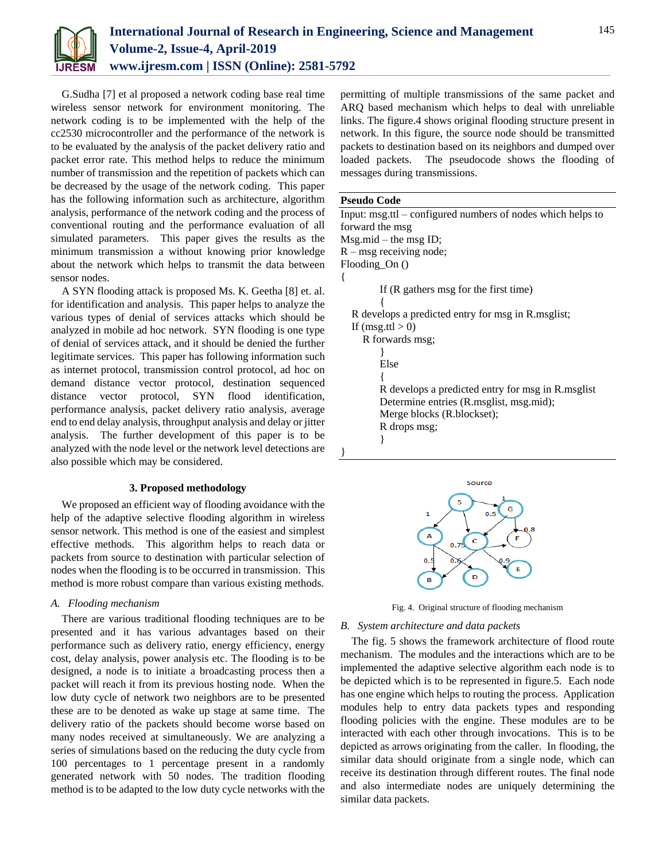

G.Sudha [7] et al proposed a network coding base real time wireless sensor network for environment monitoring. The network coding is to be implemented with the help of the cc2530 microcontroller and the performance of the network is to be evaluated by the analysis of the packet delivery ratio and packet error rate. This method helps to reduce the minimum number of transmission and the repetition of packets which can be decreased by the usage of the network coding. This paper has the following information such as architecture, algorithm analysis, performance of the network coding and the process of conventional routing and the performance evaluation of all simulated parameters. This paper gives the results as the minimum transmission a without knowing prior knowledge about the network which helps to transmit the data between sensor nodes.

A SYN flooding attack is proposed Ms. K. Geetha [8] et. al. for identification and analysis. This paper helps to analyze the various types of denial of services attacks which should be analyzed in mobile ad hoc network. SYN flooding is one type of denial of services attack, and it should be denied the further legitimate services. This paper has following information such as internet protocol, transmission control protocol, ad hoc on demand distance vector protocol, destination sequenced distance vector protocol, SYN flood identification, performance analysis, packet delivery ratio analysis, average end to end delay analysis, throughput analysis and delay or jitter analysis. The further development of this paper is to be analyzed with the node level or the network level detections are also possible which may be considered.

## **3. Proposed methodology**

We proposed an efficient way of flooding avoidance with the help of the adaptive selective flooding algorithm in wireless sensor network. This method is one of the easiest and simplest effective methods. This algorithm helps to reach data or packets from source to destination with particular selection of nodes when the flooding is to be occurred in transmission. This method is more robust compare than various existing methods.

## *A. Flooding mechanism*

There are various traditional flooding techniques are to be presented and it has various advantages based on their performance such as delivery ratio, energy efficiency, energy cost, delay analysis, power analysis etc. The flooding is to be designed, a node is to initiate a broadcasting process then a packet will reach it from its previous hosting node. When the low duty cycle of network two neighbors are to be presented these are to be denoted as wake up stage at same time. The delivery ratio of the packets should become worse based on many nodes received at simultaneously. We are analyzing a series of simulations based on the reducing the duty cycle from 100 percentages to 1 percentage present in a randomly generated network with 50 nodes. The tradition flooding method is to be adapted to the low duty cycle networks with the

permitting of multiple transmissions of the same packet and ARQ based mechanism which helps to deal with unreliable links. The figure.4 shows original flooding structure present in network. In this figure, the source node should be transmitted packets to destination based on its neighbors and dumped over loaded packets. The pseudocode shows the flooding of messages during transmissions.

## **Pseudo Code**

Input: msg.ttl – configured numbers of nodes which helps to forward the msg Msg.mid – the msg ID;  $R - mg$  receiving node; Flooding\_On () { If (R gathers msg for the first time) { R develops a predicted entry for msg in R.msglist; If  $(msg.ttl > 0)$ R forwards msg; } Else { R develops a predicted entry for msg in R.msglist Determine entries (R.msglist, msg.mid); Merge blocks (R.blockset); R drops msg; } }



Fig. 4. Original structure of flooding mechanism

# *B. System architecture and data packets*

The fig. 5 shows the framework architecture of flood route mechanism. The modules and the interactions which are to be implemented the adaptive selective algorithm each node is to be depicted which is to be represented in figure.5. Each node has one engine which helps to routing the process. Application modules help to entry data packets types and responding flooding policies with the engine. These modules are to be interacted with each other through invocations. This is to be depicted as arrows originating from the caller. In flooding, the similar data should originate from a single node, which can receive its destination through different routes. The final node and also intermediate nodes are uniquely determining the similar data packets.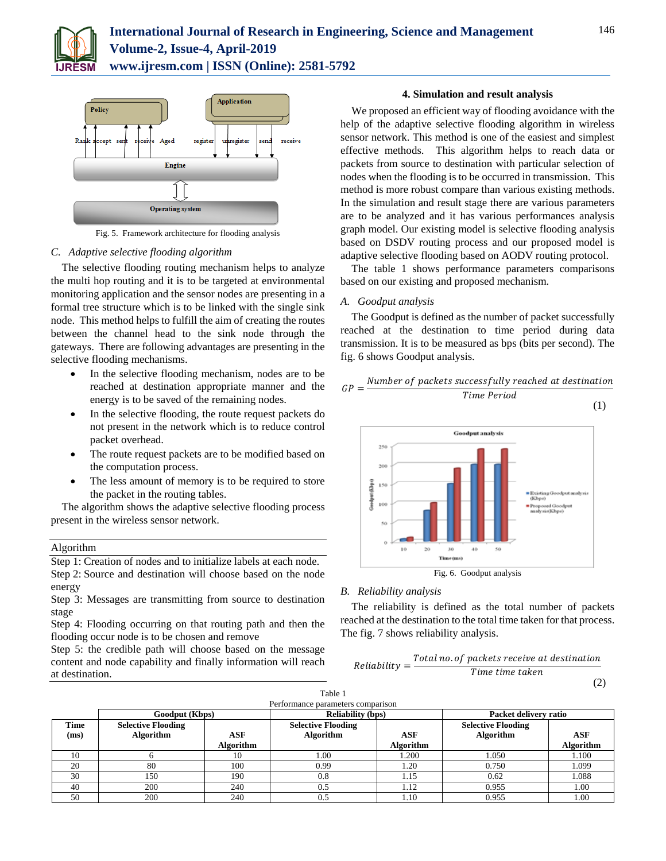



Fig. 5. Framework architecture for flooding analysis

# *C. Adaptive selective flooding algorithm*

The selective flooding routing mechanism helps to analyze the multi hop routing and it is to be targeted at environmental monitoring application and the sensor nodes are presenting in a formal tree structure which is to be linked with the single sink node. This method helps to fulfill the aim of creating the routes between the channel head to the sink node through the gateways. There are following advantages are presenting in the selective flooding mechanisms.

- In the selective flooding mechanism, nodes are to be reached at destination appropriate manner and the energy is to be saved of the remaining nodes.
- In the selective flooding, the route request packets do not present in the network which is to reduce control packet overhead.
- The route request packets are to be modified based on the computation process.
- The less amount of memory is to be required to store the packet in the routing tables.

The algorithm shows the adaptive selective flooding process present in the wireless sensor network.

#### Algorithm

Step 1: Creation of nodes and to initialize labels at each node. Step 2: Source and destination will choose based on the node energy

Step 3: Messages are transmitting from source to destination stage

Step 4: Flooding occurring on that routing path and then the flooding occur node is to be chosen and remove

Step 5: the credible path will choose based on the message content and node capability and finally information will reach at destination.

## **4. Simulation and result analysis**

We proposed an efficient way of flooding avoidance with the help of the adaptive selective flooding algorithm in wireless sensor network. This method is one of the easiest and simplest effective methods. This algorithm helps to reach data or packets from source to destination with particular selection of nodes when the flooding is to be occurred in transmission. This method is more robust compare than various existing methods. In the simulation and result stage there are various parameters are to be analyzed and it has various performances analysis graph model. Our existing model is selective flooding analysis based on DSDV routing process and our proposed model is adaptive selective flooding based on AODV routing protocol.

The table 1 shows performance parameters comparisons based on our existing and proposed mechanism.

# *A. Goodput analysis*

The Goodput is defined as the number of packet successfully reached at the destination to time period during data transmission. It is to be measured as bps (bits per second). The fig. 6 shows Goodput analysis.



Fig. 6. Goodput analysis

# *B. Reliability analysis*

The reliability is defined as the total number of packets reached at the destination to the total time taken for that process. The fig. 7 shows reliability analysis.



| Table 1     |                                   |                  |                           |                  |                           |           |  |
|-------------|-----------------------------------|------------------|---------------------------|------------------|---------------------------|-----------|--|
|             | Performance parameters comparison |                  |                           |                  |                           |           |  |
|             | Goodput (Kbps)                    |                  | <b>Reliability (bps)</b>  |                  | Packet delivery ratio     |           |  |
| <b>Time</b> | <b>Selective Flooding</b>         |                  | <b>Selective Flooding</b> |                  | <b>Selective Flooding</b> |           |  |
| (ms)        | Algorithm                         | ASF              | Algorithm                 | ASF              | Algorithm                 | ASF       |  |
|             |                                   | <b>Algorithm</b> |                           | <b>Algorithm</b> |                           | Algorithm |  |
| 10          |                                   | 10               | 1.00                      | 1.200            | 1.050                     | 1.100     |  |
| 20          | 80                                | 100              | 0.99                      | 1.20             | 0.750                     | 1.099     |  |
| 30          | 150                               | 190              | 0.8                       | 1.15             | 0.62                      | 1.088     |  |
| 40          | 200                               | 240              | 0.5                       | 1.12             | 0.955                     | 1.00      |  |
| 50          | 200                               | 240              | 0.5                       | 1.10             | 0.955                     | 1.00      |  |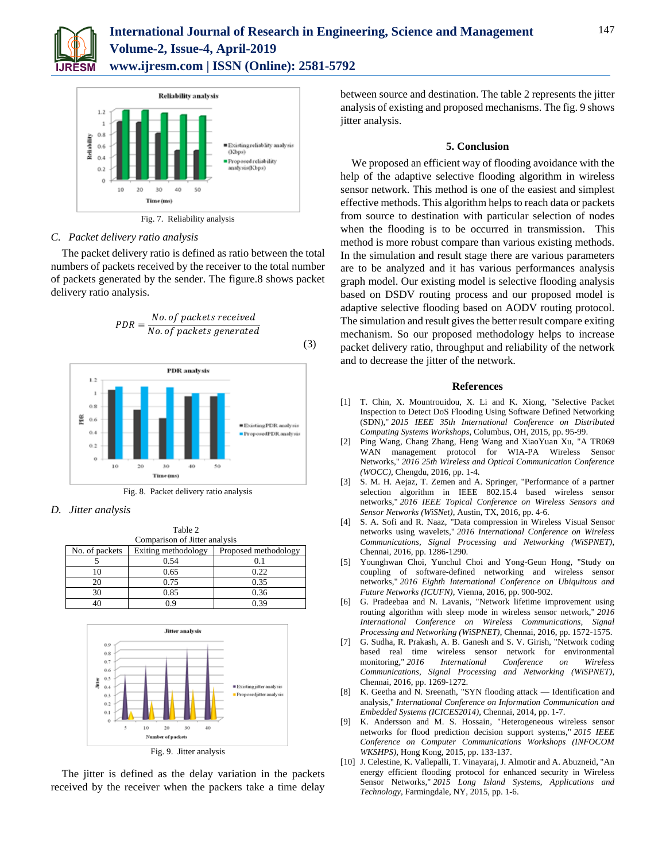



Fig. 7. Reliability analysis

# *C. Packet delivery ratio analysis*

The packet delivery ratio is defined as ratio between the total numbers of packets received by the receiver to the total number of packets generated by the sender. The figure.8 shows packet delivery ratio analysis.



*D. Jitter analysis*

| Table 2                       |                     |                      |  |  |  |  |  |
|-------------------------------|---------------------|----------------------|--|--|--|--|--|
| Comparison of Jitter analysis |                     |                      |  |  |  |  |  |
| No. of packets                | Exiting methodology | Proposed methodology |  |  |  |  |  |
|                               | 0.54                |                      |  |  |  |  |  |
| 10                            | 0.65                | 0.22                 |  |  |  |  |  |
| 20                            | 0.75                | 0.35                 |  |  |  |  |  |
| 30                            | 0.85                | 0.36                 |  |  |  |  |  |
|                               |                     | በ 39                 |  |  |  |  |  |



The jitter is defined as the delay variation in the packets received by the receiver when the packers take a time delay between source and destination. The table 2 represents the jitter analysis of existing and proposed mechanisms. The fig. 9 shows jitter analysis.

## **5. Conclusion**

We proposed an efficient way of flooding avoidance with the help of the adaptive selective flooding algorithm in wireless sensor network. This method is one of the easiest and simplest effective methods. This algorithm helps to reach data or packets from source to destination with particular selection of nodes when the flooding is to be occurred in transmission. This method is more robust compare than various existing methods. In the simulation and result stage there are various parameters are to be analyzed and it has various performances analysis graph model. Our existing model is selective flooding analysis based on DSDV routing process and our proposed model is adaptive selective flooding based on AODV routing protocol. The simulation and result gives the better result compare exiting mechanism. So our proposed methodology helps to increase packet delivery ratio, throughput and reliability of the network and to decrease the jitter of the network.

#### **References**

- [1] T. Chin, X. Mountrouidou, X. Li and K. Xiong, "Selective Packet Inspection to Detect DoS Flooding Using Software Defined Networking (SDN)," *2015 IEEE 35th International Conference on Distributed Computing Systems Workshops*, Columbus, OH, 2015, pp. 95-99.
- [2] Ping Wang, Chang Zhang, Heng Wang and XiaoYuan Xu, "A TR069 WAN management protocol for WIA-PA Wireless Sensor Networks," *2016 25th Wireless and Optical Communication Conference (WOCC)*, Chengdu, 2016, pp. 1-4.
- [3] S. M. H. Aejaz, T. Zemen and A. Springer, "Performance of a partner selection algorithm in IEEE 802.15.4 based wireless sensor networks," *2016 IEEE Topical Conference on Wireless Sensors and Sensor Networks (WiSNet)*, Austin, TX, 2016, pp. 4-6.
- [4] S. A. Sofi and R. Naaz, "Data compression in Wireless Visual Sensor networks using wavelets," *2016 International Conference on Wireless Communications, Signal Processing and Networking (WiSPNET)*, Chennai, 2016, pp. 1286-1290.
- [5] Younghwan Choi, Yunchul Choi and Yong-Geun Hong, "Study on coupling of software-defined networking and wireless sensor networks," *2016 Eighth International Conference on Ubiquitous and Future Networks (ICUFN)*, Vienna, 2016, pp. 900-902.
- [6] G. Pradeebaa and N. Lavanis, "Network lifetime improvement using routing algorithm with sleep mode in wireless sensor network," *2016 International Conference on Wireless Communications, Signal Processing and Networking (WiSPNET)*, Chennai, 2016, pp. 1572-1575.
- [7] G. Sudha, R. Prakash, A. B. Ganesh and S. V. Girish, "Network coding based real time wireless sensor network for environmental monitoring," *2016 International Conference on Wireless Communications, Signal Processing and Networking (WiSPNET)*, Chennai, 2016, pp. 1269-1272.
- [8] K. Geetha and N. Sreenath, "SYN flooding attack Identification and analysis," *International Conference on Information Communication and Embedded Systems (ICICES2014)*, Chennai, 2014, pp. 1-7.
- [9] K. Andersson and M. S. Hossain, "Heterogeneous wireless sensor networks for flood prediction decision support systems," *2015 IEEE Conference on Computer Communications Workshops (INFOCOM WKSHPS)*, Hong Kong, 2015, pp. 133-137.
- [10] J. Celestine, K. Vallepalli, T. Vinayaraj, J. Almotir and A. Abuzneid, "An energy efficient flooding protocol for enhanced security in Wireless Sensor Networks," *2015 Long Island Systems, Applications and Technology*, Farmingdale, NY, 2015, pp. 1-6.